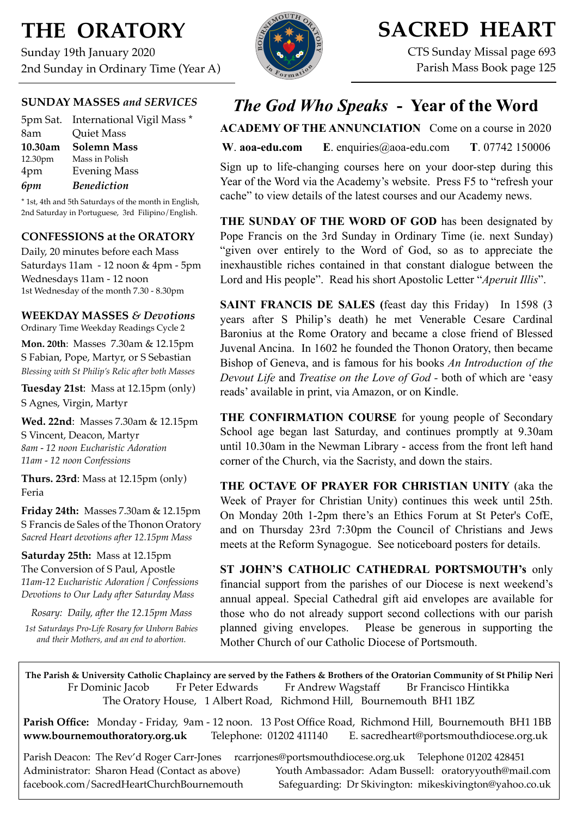# **THE ORATORY**

Sunday 19th January 2020 2nd Sunday in Ordinary Time (Year A)

## **SUNDAY MASSES** *and SERVICES*

|         | 5pm Sat. International Vigil Mass * |
|---------|-------------------------------------|
| 8am     | <b>Quiet Mass</b>                   |
| 10.30am | <b>Solemn Mass</b>                  |
| 12.30pm | Mass in Polish                      |
| 4pm     | <b>Evening Mass</b>                 |
| 6pm     | <b>Benediction</b>                  |

\* 1st, 4th and 5th Saturdays of the month in English, 2nd Saturday in Portuguese, 3rd Filipino/English.

### **CONFESSIONS at the ORATORY**

Daily, 20 minutes before each Mass Saturdays 11am - 12 noon & 4pm - 5pm Wednesdays 11am - 12 noon 1st Wednesday of the month 7.30 - 8.30pm

### **WEEKDAY MASSES** *& Devotions*

Ordinary Time Weekday Readings Cycle 2 **Mon. 20th**: Masses 7.30am & 12.15pm

S Fabian, Pope, Martyr, or S Sebastian *Blessing with St Philip's Relic after both Masses*

**Tuesday 21st**: Mass at 12.15pm (only) S Agnes, Virgin, Martyr

**Wed. 22nd**: Masses 7.30am & 12.15pm S Vincent, Deacon, Martyr *8am - 12 noon Eucharistic Adoration 11am - 12 noon Confessions*

**Thurs. 23rd**: Mass at 12.15pm (only) Feria

**Friday 24th:** Masses 7.30am & 12.15pm S Francis de Sales of the Thonon Oratory *Sacred Heart devotions after 12.15pm Mass*

**Saturday 25th:** Mass at 12.15pm The Conversion of S Paul, Apostle *11am-12 Eucharistic Adoration / Confessions Devotions to Our Lady after Saturday Mass*

*Rosary: Daily, after the 12.15pm Mass*

*1st Saturdays Pro-Life Rosary for Unborn Babies and their Mothers, and an end to abortion.*



## **SACRED HEART**

CTS Sunday Missal page 693 Parish Mass Book page 125

## *The God Who Speaks* **- Year of the Word**

**ACADEMY OF THE ANNUNCIATION** Come on a course in 2020

**W**. **[aoa-edu.com](http://aoa-edu.com) E**. [enquiries@aoa-edu.com](mailto:enquiries@aoa-edu.com) **T**. 07742 150006

Sign up to life-changing courses here on your door-step during this Year of the Word via the Academy's website. Press F5 to "refresh your cache" to view details of the latest courses and our Academy news.

**THE SUNDAY OF THE WORD OF GOD** has been designated by Pope Francis on the 3rd Sunday in Ordinary Time (ie. next Sunday) "given over entirely to the Word of God, so as to appreciate the inexhaustible riches contained in that constant dialogue between the Lord and His people". Read his short Apostolic Letter "*Aperuit Illis*".

**SAINT FRANCIS DE SALES** (feast day this Friday) In 1598 (3) years after S Philip's death) he met Venerable Cesare Cardinal Baronius at the Rome Oratory and became a close friend of Blessed Juvenal Ancina. In 1602 he founded the Thonon Oratory, then became Bishop of Geneva, and is famous for his books *An Introduction of the Devout Life* and *Treatise on the Love of God -* both of which are 'easy reads' available in print, via Amazon, or on Kindle.

**THE CONFIRMATION COURSE** for young people of Secondary School age began last Saturday, and continues promptly at 9.30am until 10.30am in the Newman Library - access from the front left hand corner of the Church, via the Sacristy, and down the stairs.

**THE OCTAVE OF PRAYER FOR CHRISTIAN UNITY** (aka the Week of Prayer for Christian Unity) continues this week until 25th. On Monday 20th 1-2pm there's an Ethics Forum at St Peter's CofE, and on Thursday 23rd 7:30pm the Council of Christians and Jews meets at the Reform Synagogue. See noticeboard posters for details.

**ST JOHN'S CATHOLIC CATHEDRAL PORTSMOUTH's** only financial support from the parishes of our Diocese is next weekend's annual appeal. Special Cathedral gift aid envelopes are available for those who do not already support second collections with our parish planned giving envelopes. Please be generous in supporting the Mother Church of our Catholic Diocese of Portsmouth.

**The Parish & University Catholic Chaplaincy are served by the Fathers & Brothers of the Oratorian Community of St Philip Neri**  Fr Dominic Jacob Fr Peter Edwards Fr Andrew Wagstaff Br Francisco Hintikka The Oratory House, 1 Albert Road, Richmond Hill, Bournemouth BH1 1BZ

**Parish Office:** Monday - Friday, 9am - 12 noon. 13 Post Office Road, Richmond Hill, Bournemouth BH1 1BB **[www.bournemouthoratory.org.uk](http://www.bournemoithoratory.org.uk)** Telephone: 01202 411140 E. [sacredheart@portsmouthdiocese.org.uk](mailto:sacredheart@portsmouthdiocese.org.uk)

Parish Deacon: The Rev'd Roger Carr-Jones [rcarrjones@portsmouthdiocese.org.uk](mailto:rcarrjones@portsmouthdiocese.org.uk) Telephone 01202 428451 Administrator: Sharon Head (Contact as above) Youth Ambassador: Adam Bussell: [oratoryyouth@mail.com](http://oratoryyouth.mail.com) [facebook.com/SacredHeartChurchBournemouth](http://facebook.com/SaccredHeartChurchBournemouth) Safeguarding: Dr Skivington: mikeskivington@yahoo.co.uk